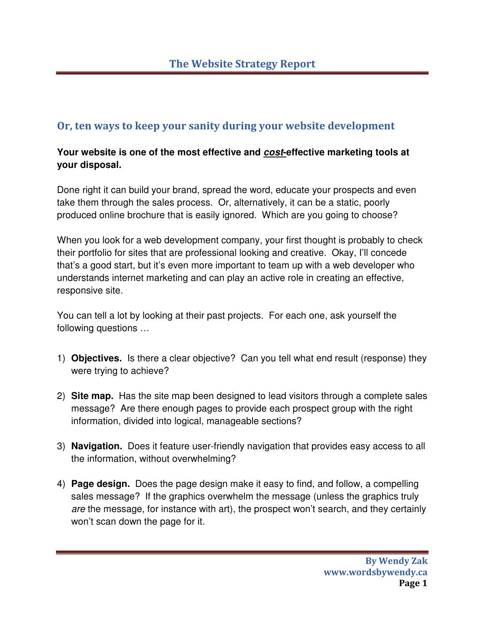## Or, ten ways to keep your sanity during your website development

## **Your website is one of the most effective and cost-effective marketing tools at your disposal.**

Done right it can build your brand, spread the word, educate your prospects and even take them through the sales process. Or, alternatively, it can be a static, poorly produced online brochure that is easily ignored. Which are you going to choose?

When you look for a web development company, your first thought is probably to check their portfolio for sites that are professional looking and creative. Okay, I'll concede that's a good start, but it's even more important to team up with a web developer who understands internet marketing and can play an active role in creating an effective, responsive site.

You can tell a lot by looking at their past projects. For each one, ask yourself the following questions …

- 1) **Objectives.** Is there a clear objective? Can you tell what end result (response) they were trying to achieve?
- 2) **Site map.** Has the site map been designed to lead visitors through a complete sales message? Are there enough pages to provide each prospect group with the right information, divided into logical, manageable sections?
- 3) **Navigation.** Does it feature user-friendly navigation that provides easy access to all the information, without overwhelming?
- 4) **Page design.** Does the page design make it easy to find, and follow, a compelling sales message? If the graphics overwhelm the message (unless the graphics truly are the message, for instance with art), the prospect won't search, and they certainly won't scan down the page for it.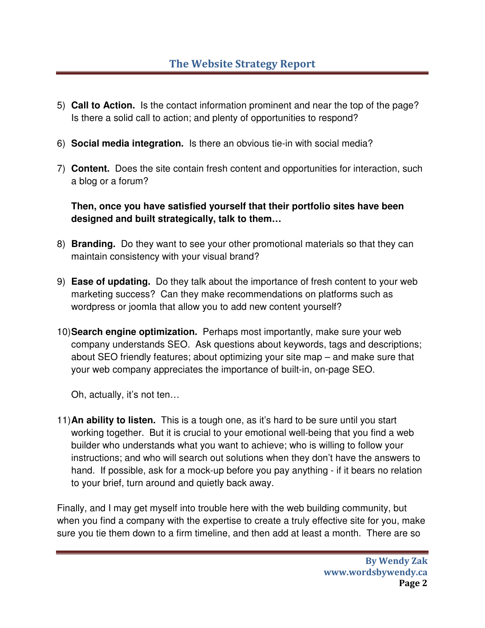- 5) **Call to Action.** Is the contact information prominent and near the top of the page? Is there a solid call to action; and plenty of opportunities to respond?
- 6) **Social media integration.** Is there an obvious tie-in with social media?
- 7) **Content.** Does the site contain fresh content and opportunities for interaction, such a blog or a forum?

**Then, once you have satisfied yourself that their portfolio sites have been designed and built strategically, talk to them…**

- 8) **Branding.** Do they want to see your other promotional materials so that they can maintain consistency with your visual brand?
- 9) **Ease of updating.** Do they talk about the importance of fresh content to your web marketing success? Can they make recommendations on platforms such as wordpress or joomla that allow you to add new content yourself?
- 10) **Search engine optimization.** Perhaps most importantly, make sure your web company understands SEO. Ask questions about keywords, tags and descriptions; about SEO friendly features; about optimizing your site map – and make sure that your web company appreciates the importance of built-in, on-page SEO.

Oh, actually, it's not ten…

11) **An ability to listen.** This is a tough one, as it's hard to be sure until you start working together. But it is crucial to your emotional well-being that you find a web builder who understands what you want to achieve; who is willing to follow your instructions; and who will search out solutions when they don't have the answers to hand. If possible, ask for a mock-up before you pay anything - if it bears no relation to your brief, turn around and quietly back away.

Finally, and I may get myself into trouble here with the web building community, but when you find a company with the expertise to create a truly effective site for you, make sure you tie them down to a firm timeline, and then add at least a month. There are so